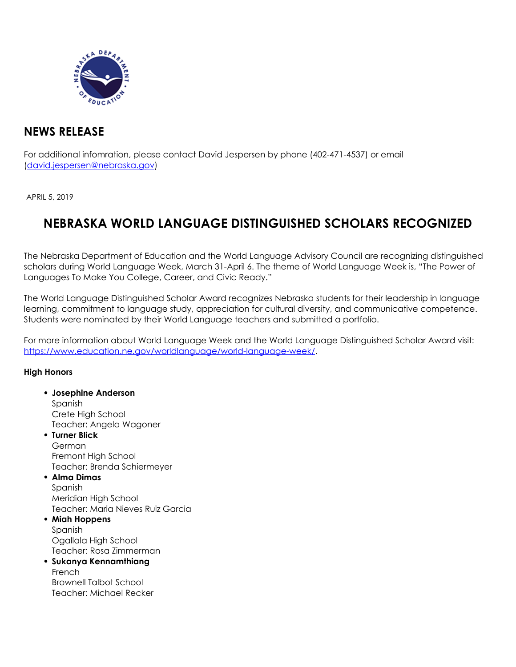

## **NEWS RELEASE**

For additional infomration, please contact David Jespersen by phone (402-471-4537) or email (david.jespersen@nebraska.gov)

APRIL 5, 2019

# **NEBRASKA WORLD LANGUAGE DISTINGUISHED SCHOLARS RECOGNIZED**

The Nebraska Department of Education and the World Language Advisory Council are recognizing distinguished scholars during World Language Week, March 31-April 6. The theme of World Language Week is, "The Power of Languages To Make You College, Career, and Civic Ready."

The World Language Distinguished Scholar Award recognizes Nebraska students for their leadership in language learning, commitment to language study, appreciation for cultural diversity, and communicative competence. Students were nominated by their World Language teachers and submitted a portfolio.

For more information about World Language Week and the World Language Distinguished Scholar Award visit: [https://www.education.ne.gov/worldlanguage/world-language-week/.](https://www.education.ne.gov/worldlanguage/world-language-week/)

#### **High Honors**

**Josephine Anderson** Spanish Crete High School Teacher: Angela Wagoner **Turner Blick** German Fremont High School Teacher: Brenda Schiermeyer **Alma Dimas** Spanish Meridian High School Teacher: Maria Nieves Ruiz Garcia **Miah Hoppens** Spanish Ogallala High School Teacher: Rosa Zimmerman **Sukanya Kennamthiang** French

Brownell Talbot School Teacher: Michael Recker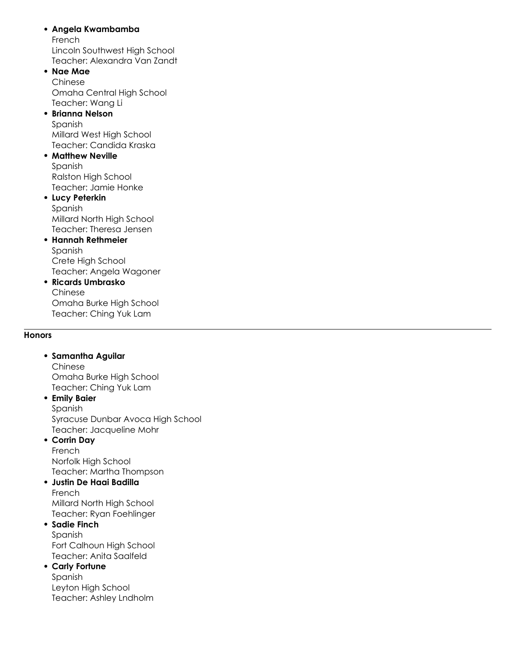#### **Angela Kwambamba**

French Lincoln Southwest High School Teacher: Alexandra Van Zandt

#### **Nae Mae** Chinese

Omaha Central High School Teacher: Wang Li

#### **Brianna Nelson** Spanish Millard West High School Teacher: Candida Kraska

**• Matthew Neville** Spanish

Ralston High School Teacher: Jamie Honke

#### **Lucy Peterkin** Spanish Millard North High School Teacher: Theresa Jensen

- **Hannah Rethmeier** Spanish Crete High School Teacher: Angela Wagoner
- **Ricards Umbrasko** Chinese Omaha Burke High School Teacher: Ching Yuk Lam

#### **Honors**

**Samantha Aguilar** Chinese

Omaha Burke High School Teacher: Ching Yuk Lam

#### **Emily Baier** Spanish

Syracuse Dunbar Avoca High School Teacher: Jacqueline Mohr

#### **Corrin Day** French Norfolk High School

Teacher: Martha Thompson **Justin De Haai Badilla**

### French Millard North High School Teacher: Ryan Foehlinger

#### **Sadie Finch** Spanish Fort Calhoun High School Teacher: Anita Saalfeld

#### **Carly Fortune**

Spanish Leyton High School Teacher: Ashley Lndholm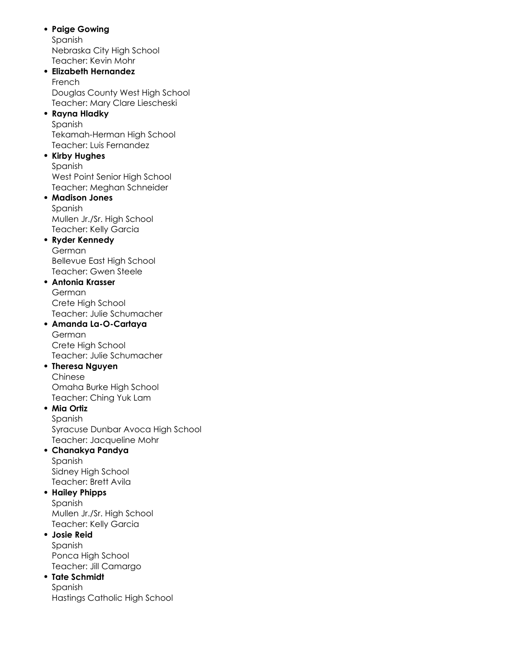**Paige Gowing** Spanish Nebraska City High School Teacher: Kevin Mohr **Elizabeth Hernandez** French Douglas County West High School Teacher: Mary Clare Liescheski **Rayna Hladky** Spanish Tekamah-Herman High School Teacher: Luis Fernandez **• Kirby Hughes** Spanish West Point Senior High School Teacher: Meghan Schneider **Madison Jones** Spanish Mullen Jr./Sr. High School Teacher: Kelly Garcia **Ryder Kennedy** German Bellevue East High School Teacher: Gwen Steele **Antonia Krasser** German Crete High School Teacher: Julie Schumacher **Amanda La-O-Cartaya** German Crete High School Teacher: Julie Schumacher **Theresa Nguyen** Chinese Omaha Burke High School Teacher: Ching Yuk Lam **Mia Ortiz** Spanish Syracuse Dunbar Avoca High School Teacher: Jacqueline Mohr **Chanakya Pandya** Spanish Sidney High School Teacher: Brett Avila **Hailey Phipps** Spanish Mullen Jr./Sr. High School Teacher: Kelly Garcia **Josie Reid** Spanish Ponca High School Teacher: Jill Camargo **Tate Schmidt** Spanish Hastings Catholic High School